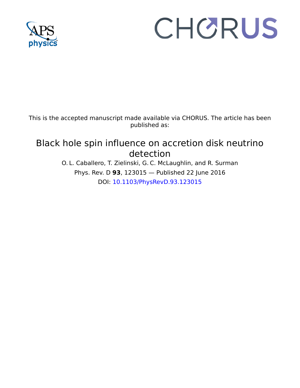

# CHORUS

This is the accepted manuscript made available via CHORUS. The article has been published as:

# Black hole spin influence on accretion disk neutrino detection

O. L. Caballero, T. Zielinski, G. C. McLaughlin, and R. Surman Phys. Rev. D **93**, 123015 — Published 22 June 2016 DOI: [10.1103/PhysRevD.93.123015](http://dx.doi.org/10.1103/PhysRevD.93.123015)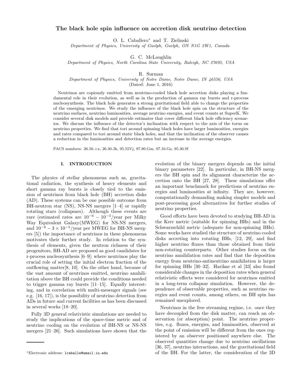# The black hole spin influence on accretion disk neutrino detection

O. L. Caballero<sup>∗</sup> and T. Zielinski

Department of Physics, University of Guelph, Guelph, ON N1G 2W1, Canada

G. C. McLaughlin

Department of Physics, North Carolina State University, Raleigh, NC 27695, USA

#### R. Surman

Department of Physics, University of Notre Dame, Notre Dame, IN 46556, USA

(Dated: June 1, 2016)

Neutrinos are copiously emitted from neutrino-cooled black hole accretion disks playing a fundamental role in their evolution, as well as in the production of gamma ray bursts and r-process nucleosynthesis. The black hole generates a strong gravitational field able to change the properties of the emerging neutrinos. We study the influence of the black hole spin on the structure of the neutrino surfaces, neutrino luminosities, average neutrino energies, and event counts at SuperK. We consider several disk models and provide estimates that cover different black hole efficiency scenarios. We discuss the influence of the detector's inclination with respect to the axis of the torus on neutrino properties. We find that tori around spinning black holes have larger luminosities, energies and rates compared to tori around static black holes, and that the inclination of the observer causes a reduction in the luminosities and detection rates but an increase in the average energies.

PACS numbers: 26.50.+x, 26.30.Jk, 95.55Vj, 97.80.Gm, 97.10.Gz, 95.30.Sf

#### I. INTRODUCTION

The physics of stellar phenomena such as, gravitational radiation, the synthesis of heavy elements and short gamma ray bursts is closely tied to the emission of neutrinos from black hole (BH) accretion disks (AD). These systems can be one possible outcome from BH-neutron star (NS), NS-NS mergers [1–4] or rapidly rotating stars (collapsars). Although these events are rare (estimated rates are  $10^{-6} - 10^{-3}$ /year per Milky Way Equivalent Galaxy(MWEG) for NS-NS mergers, and  $10^{-8} - 3 \times 10^{-5}$ /year per MWEG for BH-NS mergers [5]) the importance of neutrinos in these phenomena motivates their further study. In relation to the synthesis of elements, given the neutron richness of their progenitors, BH-AD are proposed as good candidates for r-process nucleosynthesis [6–9]; where neutrinos play the crucial role of setting the initial electron fraction of the outflowing matter[8, 10]. On the other hand, because of the vast amount of neutrinos emitted, neutrino annhilitation above the BH could provide the conditions needed to trigger gamma ray bursts [11–15]. Equally interesting, and in correlation with multi-mesenger signals (see e.g. [16, 17]), is the possibility of neutrino detection from ADs in future and current facilities as has been discussed in several works [18–20].

Fully 3D general relativistic simulations are needed to study the implications of the space-time metric and of neutrino cooling on the evolution of BH-NS or NS-NS mergers [21–26]. Such simulations have shown that the

evolution of the binary mergers depends on the initial binary parameters [22]. In particular, in BH-NS mergers the BH spin and its alignment characterize the accretion onto the BH [27, 28]. These simulations offer an important benchmark for predictions of neutrino energies and luminosities at infinity. They are, however, computationally demanding making simpler models and post-processing good alternatives for further studies of neutrino properties.

Good efforts have been devoted to studying BH-AD in the Kerr metric (suitable for spinning BHs) and in the Schwarzschild metric (adequate for non-spinning BHs). Some works have studied the structure of neutrino cooled disks accreting into rotating BHs, [12, 29], and find higher neutrino fluxes than those obtained from their non-rotating counterparts. Other studies focus on the neutrino annihilation rates and find that the deposition energy from neutrino-antineutrino annihilation is larger for spinning BHs [30–32]. Harikae et al [33] also found considerable changes in the deposition rates when general relativistic effects were considered for neutrinos emitted in a long-term collapsar simulation. However, the dependence of observable properties, such as neutrino energies and event counts, among others, on BH spin has remained unexplored.

Neutrinos in the free streaming regime, i.e. once they have decoupled from the disk matter, can reach an observation (or absorption) point. The neutrino properties, e.g. fluxes, energies, and luminosities, observed at the point of emission will be different from the ones registered by an observer positioned anywhere else. The observed quantities change due to neutrino oscillations [36, 37], neutrino interactions, and the gravitational field of the BH. For the latter, the consideration of the 3D

<sup>∗</sup>Electronic address: lcaballe@umail.iu.edu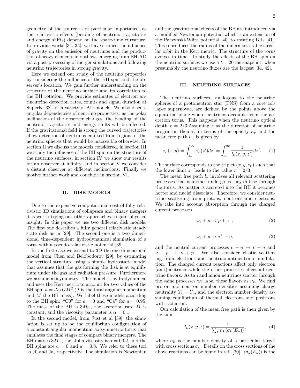geometry of the source is of particular importance, as the relativistic effects (bending of neutrino trajectories and energy shifts) depend on the space-time curvature. In previous works [34, 35], we have studied the influence of gravity on the emission of neutrinos and the production of heavy elements in outflows emerging from BH-AD via a post-processing of merger simulations and following neutrino trajectories in strong gravity.

Here we extend our study of the neutrino properties by considering the influence of the BH spin and the observer's location. We gain further understanding on the structure of the neutrino surface and its correlation to the BH rotation. We provide estimates of electron antineutrino detection rates, counts and signal duration at SuperK [38] for a variety of AD models. We also discuss angular dependencies of neutrino properties: as the polar inclination of the observer changes, the bending of the neutrino trajectories and energy shifts will be affected. If the gravitational field is strong the curved trajectories allow detection of neutrinos emitted from regions of the neutrino spheres that would be inaccesible otherwise. In section II we discuss the models considered, in section III we study the influence of the BH spin on the structure of the neutrino surfaces, in section IV we show our results for an observer at infinity, and in section V we consider a distant observer at different inclinations. Finally we motive further work and conclude in section VI.

#### II. DISK MODELS

Due to the expensive computational cost of fully relativistic 3D simulations of collapsars and binary mergers it is worth trying out other approaches to gain physical insight. In this paper we use two different disk models. The first one describes a fully general relativistic steady state disk as in [29]. The second one is a two dimensional time-dependent hydrodynamical simulation of a torus with a pseudo-relativistic potential [39].

In the first case we extend to 3D the one dimensional model from Chen and Belobodorov [29], by estimating the vertical structure using a simple hydrostatic model that assumes that the gas forming the disk is at equilibrium under the gas and radiation pressure. Furthermore we assume axisymmetry. The model is hydrodynamical and uses the Kerr metric to account for two values of the BH spin  $a = Jc/GM^2$  (*J* is the total angular momentum and  $M$  the BH mass). We label these models according to the BH spin: "C0" for  $a = 0$  and "Ca" for  $a = 0.95$ . The mass of the BH is  $3M_{\odot}$ , the accretion rate  $\dot{M}$  is constant, and the viscosity parameter is  $\alpha = 0.1$ .

In the second model, from Just et al [39], the simulation is set up to be the equilibrium configuration of a constant angular momentum axisymmetric torus that emulates the final stages of compact binary mergers. The BH mass is  $3M_{\odot}$ , the alpha viscosity is  $\alpha = 0.02$ , and the BH spins are  $a = 0$  and  $a = 0.8$ . We refer to these tori as J0 and Ja, respectively. The simulation is Newtonian

and the gravitational effects of the BH are introduced via a modified Newtonian potential which is an extension of the Paczynski-Wiita potential [40] to rotating BHs [41]. This reproduces the radius of the innermost stable circular orbit in the Kerr metric. The structure of the torus evolves in time. To study the effects of the BH spin on the neutrino surfaces we use a  $t = 20$  ms snapshot, when presumably the neutrino fluxes are the largest [34, 42].

#### III. NEUTRINO SURFACES

The neutrino surfaces, analogous to the neutrino spheres of a protoneutron star (PNS) from a core collapse supernovae, are defined by the points above the equatorial plane where neutrinos decouple from the accretion torus. This happens when the neutrino optical depth  $\tau = 2/3$ . Assuming z as the direction of neutrino progration then  $\tau$ , in terms of the opacity  $\kappa_{\nu}$  and the mean free path  $l_{\nu}$ , is given by

$$
\tau_{\nu}(x,y) = \int_{z_{\nu}}^{\infty} \kappa_{\nu}(z')dz' = \int_{z_{\nu}}^{\infty} \frac{1}{l_{\nu}(x,y,z')}dz'. \tag{1}
$$

The surface corresponds to the triplet  $(x, y, z_\nu)$  such that the lower limit  $z_{\nu}$  leads to the value  $\tau = 2/3$ .

The mean free path  $l_{\nu}$  involves all relevant scattering processes that neutrinos undergo as they diffuse through the torus. As matter is accreted into the BH it becomes hotter and nuclei dissociate. Therefore, we consider neutrino scattering from protons, neutrons and electrons. We take into account absorption through the charged current processes

$$
\nu_e + n \to p + e^-, \tag{2}
$$

$$
\bar{\nu}_e + p \to e^+ + n,\tag{3}
$$

and the neutral current processes  $\nu + n \rightarrow \nu + n$  and  $\nu + p \rightarrow \nu + p$ . We also consider elastic scattering from electrons and neutrino-antineutrino annihilation. The charged current reactions affect only electron (anti)neutrinos while the other processes affect all neutrino flavors. As tau and muon neutrinos scatter through the same processes we label these flavors as  $\nu_x$ . We find proton and neutron number densities assuming charge neutrality  $Y_e = Y_p$ , and the electron number density assuming equilibrium of thermal electrons and positrons with radiation.

Our calculation of the mean free path is then given by the sum

$$
l_{\nu}(x, y, z) = \frac{1}{\sum_{k} n_{k} \langle \sigma_{k}(E_{\nu}) \rangle},
$$
\n(4)

where  $n_k$  is the number density of a particular target with cross sections  $\sigma_k$ . Details on the cross sections of the above reactions can be found in ref. [20].  $\langle \sigma_k(E_\nu) \rangle$  is the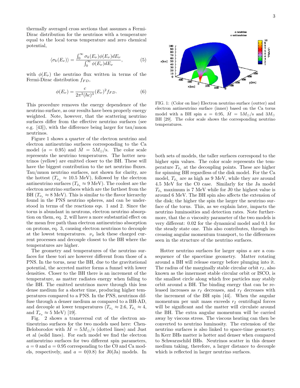thermally averaged cross sections that assumes a Fermi-Dirac distribution for the neutrinos with a temperature equal to the local torus temperature and zero chemical potential,

$$
\langle \sigma_k(E_\nu) \rangle = \frac{\int_0^\infty \sigma_k(E_\nu) \phi(E_\nu) dE_\nu}{\int_0^\infty \phi(E_\nu) dE_\nu},\tag{5}
$$

with  $\phi(E_{\nu})$  the neutrino flux written in terms of the Fermi-Dirac distribution  $f_{FD}$ ,

$$
\phi(E_{\nu}) = \frac{c}{2\pi^2(\hbar c)^3} (E_{\nu})^2 f_{FD}.
$$
\n(6)

This procedure removes the energy dependence of the neutrino surface, as our results have been properly energy weighted. Note, however, that the scattering neutrino surfaces differ from the effective neutrino surfaces (see e.g. [43]), with the difference being larger for tau/muon neutrinos.

Figure 1 shows a quarter of the electron neutrino and electron antineutrino surfaces corresponding to the Ca model (a = 0.95) and  $\dot{M} = 5M_{\odot}/\text{s}$ . The color scale represents the neutrino temperatures. The hotter neutrinos (yellow) are emitted closer to the BH. These will have the biggest contribution to the net neutrino fluxes. Tau/muon neutrino surfaces, not shown for clarity, are the hottest  $(T_{\nu_x} \approx 10.5 \text{ MeV})$ , followed by the electron antineutrino surfaces ( $T_{\bar{\nu}_e} \approx 9 \text{ MeV}$ ). The coolest are the electron neutrino surfaces which are the farthest from the BH  $(T_{\nu_e} \approx 8 \text{ MeV})$ . This is similar to the flavor hierarchy found in the PNS neutrino spheres, and can be understood in terms of the reactions eqs. 1 and 2. Since the torus is abundant in neutrons, electron neutrino absorption on them, eq. 2, will have a more substantial effect on the mean free path than electron antineutrino absorption on protons, eq. 3, causing electron neutrinos to decouple at the lowest temperatures.  $\nu_x$  lack these charged current processes and decouple closest to the BH where the temperatures are higher.

The geometry and temperatures of the neutrino surfaces for these tori are however different from those of a PNS. In the torus, near the BH, due to the gravitational potential, the accreted matter forms a funnel with lower densities. Closer to the BH there is an increment of the temperature, as matter radiates energy when falling to the BH. The emitted neutrinos move through this less dense medium for a shorter time, producing higher temperatures compared to a PNS. In the PNS, neutrinos diffuse through a denser medium as compared to a BH-AD, and decouple at lower temperatures ( $T_{\nu_e} \approx 2.6$ ,  $T_{\bar{\nu}_e} \approx 4$ , and  $T_{\nu_x} \approx 5$  MeV) [19].

Fig.  $2$  shows a transversal cut of the electron antineutrino surfaces for the two models used here: Chen-Beloborodov with  $\dot{M} = 5M_{\odot}/s$  (dotted lines) and Just et al (solid lines). For each model we find the electron antineutrino surfaces for two different spin parameters,  $a = 0$  and  $a = 0.95$  corresponding to the C0 and Ca models, respectively, and  $a = 0(0.8)$  for J0(Ja) models. In



FIG. 1: (Color on line) Electron neutrino surface (outter) and electron antineutrino surface (inner) based on the Ca torus model with a BH spin  $a = 0.95$ ,  $\dot{M} = 5M_{\odot}/s$  and  $3M_{\odot}$ BH [29]. The color scale shows the corresponding neutrino temperatures.

both sets of models, the taller surfaces correspond to the higher spin values. The color scale represents the temperature  $T_{\bar{\nu}_e}$  at the decoupling points. These are higher for spinning BH regardless of the disk model. For the Ca model,  $T_{\bar{\nu}_e}$  are as high as 9 MeV, while they are around 4.5 MeV for the C0 case. Similarly for the Ja model  $T_{\bar{\nu}_e}$  maximum is 7 MeV while for J0 the highest value is around 6 MeV. The BH spin also affects the extension of the disk; the higher the spin the larger the neutrino surface of the torus. This, as we explain later, impacts the neutrino luminosities and detection rates. Note furthermore, that the  $\alpha$  viscosity parameter of the two models is very different: 0.02 for the dynamical model and 0.1 for the steady state one. This also contributes, through increasing angular momentum transport, to the differences seen in the structure of the neutrino surfaces.

Hotter neutrino surfaces for larger spins a are a consequence of the spacetime geometry. Matter rotating around a BH will release energy before plunging into it. The radius of the marginally stable circular orbit  $r_I$ , also known as the innermost stable circular orbit or ISCO, is the smallest circle along which free particles may stably orbit around a BH. The binding energy that can be released increases as  $r_I$  decreases, and  $r_I$  decreases with the increment of the BH spin [44]. When the angular momentum per unit mass exceeds  $r_I$  centrifugal forces will be significant and the matter will circulate around the BH. The extra angular momentum will be carried away by viscous stress. The viscous heating can then be converted to neutrino luminosity. The extension of the neutrino surfaces is also linked to space-time geometry. In Kerr BHs matter is hotter and denser when compared to Schwarzschild BHs. Neutrinos scatter in this denser medium taking, therefore, a larger distance to decouple which is reflected in larger neutrino surfaces.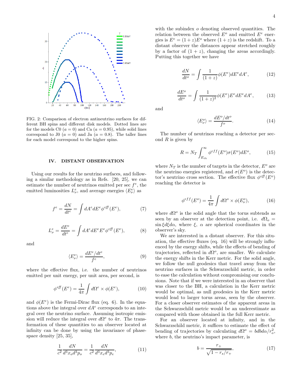

FIG. 2: Comparison of electron antineutrino surfaces for different BH spins and different disk models. Dotted lines are for the models C0  $(a = 0)$  and Ca  $(a = 0.95)$ , while solid lines correspond to J0 ( $a = 0$ ) and Ja ( $a = 0.8$ ). The taller lines for each model correspond to the higher spins.

#### IV. DISTANT OBSERVATION

Using our results for the neutrino surfaces, and following a similar methodology as in Refs. [20, 25], we can estimate the number of neutrinos emitted per sec  $f^e$ , the emitted luminosities  $L^e_\nu$ , and average energies  $\langle E^e_\nu \rangle$  as

$$
f^{e} = \frac{dN}{dt^{e}} = \int dA^{e} dE^{e} \phi^{e\bar{f}}(E^{e}), \qquad (7)
$$

$$
L^e_\nu = \frac{dE^e}{dt^e} = \int dA^e dE^e E^e \phi^{ef\!f}(E^e),\tag{8}
$$

and

$$
\langle E_{\nu}^{e} \rangle = \frac{dE^{e}/dt^{e}}{f^{e}},\tag{9}
$$

where the effective flux, i.e. the number of neutrinos emitted per unit energy, per unit area, per second, is

$$
\phi^{eff}(E^e) = \frac{1}{4\pi} \int d\Omega^e \times \phi(E^e), \tag{10}
$$

and  $\phi(E^e)$  is the Fermi-Dirac flux (eq. 6). In the equations above the integral over  $dA<sup>e</sup>$  corresponds to an integral over the neutrino surface. Assuming isotropic emission will reduce the integral over  $d\Omega^e$  to  $4\pi$ . The transformation of these quantities to an observer located at infinity can be done by using the invariance of phasespace density [25, 35],

$$
\frac{1}{c^2} \frac{dN}{d^3 x_o d^3 p_o} = \frac{1}{c^2} \frac{dN}{d^3 x_e d^3 p_e},\tag{11}
$$

with the subindex  $o$  denoting observed quantities. The relation between the observed  $E^o$  and emitted  $E^e$  energies is  $E^e = (1+z)E^o$  where  $(1+z)$  is the redshift. To a distant observer the distances appear stretched roughly by a factor of  $(1 + z)$ , changing the areas accordingly. Putting this together we have

$$
\frac{dN}{dt^o} = \int \frac{1}{(1+z)} \phi(E^e) dE^e dA^e,\tag{12}
$$

$$
\frac{dE^o}{dt^o} = \int \frac{1}{(1+z)^2} \phi(E^e) E^e dE^e dA^e,\tag{13}
$$

and

$$
\langle E_{\nu}^o \rangle = \frac{dE^o/dt^o}{f^o}.\tag{14}
$$

The number of neutrinos reaching a detector per second  $R$  is given by

$$
R = N_T \int_{E_{th}}^{\infty} \phi^{eff}(E^o) \sigma(E^o) dE^o, \tag{15}
$$

where  $N_T$  is the number of targets in the detector,  $E^o$  are the neutrino energies registered, and  $\sigma(E^o)$  is the detector's neutrino cross section. The effective flux  $\phi^{eff}(E^o)$ reaching the detector is

$$
\phi^{eff}(E^o) = \frac{1}{4\pi} \int d\Omega^o \times \phi(E^o_\nu),\tag{16}
$$

where  $d\Omega^o$  is the solid angle that the torus subtends as seen by an observer at the detection point, i.e.  $d\Omega_o =$  $\sin \xi d\xi d\alpha$ , where  $\xi$ ,  $\alpha$  are spherical coordinates in the observer's sky.

We are interested in a distant observer. For this situation, the effective fluxes (eq. 16) will be strongly influenced by the energy shifts, while the effects of bending of trajectories, reflected in  $d\Omega^o$ , are smaller. We calculate the energy shifts in the Kerr metric. For the solid angle, we follow the null geodesics that travel away from the neutrino surfaces in the Schwarzschild metric, in order to ease the calculation without compromising our conclusions. Note that if we were interested in an observer that was closer to the BH, a calculation in the Kerr metric would be optimal, as null geodesics in the Kerr metric would lead to larger torus areas, seen by the observer. For a closer observer estimates of the apparent areas in the Schwarzschild metric would be an underestimate as compared with those obtained in the full Kerr metric.

For an observer located at infinity, and in the Schwarzschild metric, it suffices to estimate the effect of bending of trajectories by calculating  $d\Omega^o = bdb \frac{d\alpha}{r_o^o}$ , where  $b$ , the neutrino's impact parameter, is

$$
b = \frac{r_+}{\sqrt{1 - r_s/r_+}},\tag{17}
$$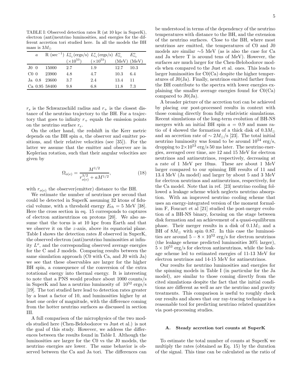TABLE I: Observed detection rates R (at 10 kpc in SuperK), electron (anti)neutrino luminosities, and energies for the different accretion tori studied here. In all the models the BH mass is  $3M_{\odot}$ 

|                 | $\boldsymbol{a}$ |               |                    | R (sec <sup>-1</sup> ) $L^o_{\bar{\nu}_e}$ (ergs/s) $L^o_{\nu_e}$ (ergs/s) $E^o_{\bar{\nu}_e}$ |      | $E^o_{\nu_e}$   |
|-----------------|------------------|---------------|--------------------|------------------------------------------------------------------------------------------------|------|-----------------|
|                 |                  |               | $(\times 10^{53})$ | $(\times 10^{53})$                                                                             |      | $(MeV)$ $(MeV)$ |
| J0 <sub>0</sub> |                  | 15000         | 2.7                | 1.9                                                                                            | 12.7 | 10.3            |
| CO <sub>0</sub> |                  | -23900        | 4.8                | 4.7                                                                                            | 10.3 | 6.4             |
|                 |                  | Ja 0.8 23600  | 3.7                | 2.4                                                                                            | 13.4 | -11             |
|                 |                  | Ca 0.95 58400 | 9.8                | 6.8                                                                                            | 11.8 | 7.3             |

 $r<sub>s</sub>$  is the Schwarzschild radius and  $r<sub>+</sub>$  is the closest distance of the neutrino trajectory to the BH. For a trajectory that goes to infinity  $r_{+}$  equals the emission points on the neutrino surface  $r_e$ .

On the other hand, the redshift in the Kerr metric depends on the BH spin a, the observer and emitter positions, and their relative velocities (see [35]). For the latter we assume that the emitter and observer are in Keplerian rotation, such that their angular velocities are given by

$$
\Omega_{o(e)} = \frac{M^{1/2}}{r_{o(e)}^{3/2} + aM^{1/2}},\tag{18}
$$

with  $r_{o(e)}$  the observer(emitter) distance to the BH.

We estimate the number of neutrinos per second that could be detected in SuperK assuming 32 ktons of fiducial volume, with a threshold energy  $E_{th} = 5$  MeV [38]. Here the cross section in eq. 15 corresponds to captures of electron antineutrinos on protons [20]. We also assume that the torus is at 10 kpc from Earth and that we observe it on the z-axis, above its equatorial plane. Table I shows the detection rates R observed in SuperK, the observed electron (anti)neutrino luminosities at infinity  $L^o$ , and the corresponding observed average energies for the C and J models. Comparing results between the same simulation approach (C0 with Ca, and J0 with Ja) we see that these observables are larger for the higher BH spin, a consequence of the conversion of the extra rotational energy into thermal energy. It is interesting to note that a PNS would produce about 1000 counts/s in SuperK and has a neutrino luminosity of  $10^{52}$  ergs/s [19]. The tori studied here lead to detection rates greater by a least a factor of 10, and luminosities higher by at least one order of magnitude, with the difference coming from the hotter neutrino surfaces as discussed in section III.

A full comparison of the microphysics of the two models studied here (Chen-Belobodorov vs Just et al.) is not the goal of this study. However, we address the differences between the results found in Table I. Although the luminosities are larger for the C0 vs the J0 models, the neutrino energies are lower. The same behavior is observed between the Ca and Ja tori. The differences can

be understood in terms of the dependency of the neutrino temperatures with distance to the BH, and the extension of the neutrino surfaces. Close to the BH, where most neutrinos are emitted, the temperatures of C0 and J0 models are similar ∼5 MeV (as is also the case for Ca and Ja where T is around tens of MeV). However, the surfaces are much larger for the Chen-Belobodorov models when compared to the Just et al. ones. This leads to larger luminosities for C0(Ca) despite the higher temperatures of J0(Ja). Finally, neutrinos emitted farther from the BH contribute to the spectra with lower energies explaining the smaller average energies found for C0(Ca) compared to J0(Ja).

A broader picture of the accretion tori can be achieved by placing our post-processed results in context with those coming directly from fully relativistic simulations. Recent simulations of the long-term evolution of BH-NS mergers with an initial BH spin  $a = 0.9$  and mass ratio of 4 showed the formation of a thick disk of  $0.3M_{\odot}$ and an accretion rate of  $\sim 2 M_{\odot}/s$  [23]. The total initial neutrino luminosity was found to be around  $10^{54} \text{ erg/s}$ , dropping to  $2\times10^{53}$  erg/s 50 ms later. The neutrino energies, averaged over time, are 12 and 15 MeV for electron neutrinos and antineutrinos, respectively, decreasing at a rate of 1 MeV per 10ms. These are about 1 MeV larger compared to our spinning BH results of 11 and 13.4 MeV (Ja model) and larger by about 5 and 3 MeV for electron neutrinos and antineutrinos, respectively, for the Ca model. Note that in ref. [23] neutrino cooling followed a leakage scheme which neglects neutrino absorption. With an improved neutrino cooling scheme that uses an energy-integrated version of the moment formalism F, Foucart et al [21] studied the post-merger evolution of a BH-NS binary, focusing on the stage between disk formation and an achievement of a quasi-equilibrum phase. Their merger results in a disk of  $0.1 M_{\odot}$  and a BH of  $8M_{\odot}$  with spin 0.87. In this case the luminosities are around  $5 - 8 \times 10^{52}$  erg/s for electron neutrinos (the leakage scheme predicted luminosities 30% larger),  $5 \times 10^{53}$  erg/s for electron antineutrinos, while the leakage scheme led to estimated energies of 11-13 MeV for electron neutrinos and 14-15 MeV for antineutrinos.

Our results for neutrino luminosities and energies for the spinning models in Table I (in particular for the Ja model), are similar to those coming directly from the cited simulations despite the fact that the initial conditions are different as well as are the neutrino and gravity treatments. This comparison is useful to roughly check our results and shows that our ray-tracing technique is a reasonable tool for predicting neutrino related quantities via post-processing studies.

#### A. Steady accretion tori counts at SuperK

To estimate the total number of counts at SuperK we multiply the rates (obtained as Eq. 15) by the duration of the signal. This time can be calculated as the ratio of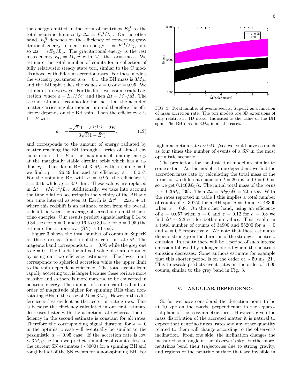the energy emitted in the form of neutrinos  $E^B_\nu$  to the total neutrino luminosity  $\Delta t = E_{\nu}^{B}/L_{\nu}$ . On the other hand,  $E^B_\nu$  depends on the efficiency of converting gravitational energy to neutrino energy  $\varepsilon = E_{\nu}^{B}/E_{G}$ , and so  $\Delta t = \varepsilon E_G/L_{\nu}$ . The gravitational energy is the rest mass energy  $E_G = M_T c^2$  with  $M_T$  the torus mass. We estimate the total number of counts for a collection of fully relativistic steady state tori, similar to the C models above, with different accretion rates. For these models the viscosity parameter is  $\alpha = 0.1$ , the BH mass is  $3M_{\odot}$ , and the BH spin takes the values  $a = 0$  or  $a = 0.95$ . We estimate  $\varepsilon$  in two ways. For the first, we assume radial accretion, where  $\varepsilon = L_{\nu}/\dot{M}c^2$  and then  $\Delta t = M_T/\dot{M}$ . The second estimate accounts for the fact that the accreted matter carries angular momentum and therefore the efficiency depends on the BH spin. Then the efficiency  $\varepsilon$  is  $1 - \hat{E}$  with

$$
a = -\frac{4\sqrt{2}(1 - \tilde{E}^2)^{1/2} - 2\tilde{E}}{3\sqrt{3}(1 - \tilde{E}^2)},
$$
(19)

and corresponds to the amount of energy radiated by matter reaching the BH through a series of almost circular orbits.  $1 - \tilde{E}$  is the maximum of binding energy at the marginally stable circular orbit which has a radius  $r_I$ . Thus for a BH of 3  $M_{\odot}$  with a spin  $a = 0$ we find  $r_I = 26.49$  km and an efficiency  $\varepsilon = 0.057$ . For the spinning BH with  $a = 0.95$ , the efficiency is  $\varepsilon = 0.19$  while  $r_I = 8.91$  km. These values are replaced in  $\Delta t = \varepsilon M_T c^2 / L_{\nu}$ . Additionally, we take into account the time dilation occurring in the vicinity of the BH and our time interval as seen at Earth is  $\Delta t^{\circ} = \Delta t (1 + z),$ where this redshift is an estimate taken from the overall redshift between the average observed and emitted neutrino energies. Our results predict signals lasting 0.14 to 0.34 secs for  $a = 0$ , and 0.16 to 0.39 sec for  $a = 0.95$  (the estimate for a supernova (SN) is 10 sec).

Figure 3 shows the total number of counts in SuperK for these tori as a function of the accretion rate  $\dot{M}$ . The magenta band corresponds to  $a = 0.95$  while the grey one to  $a = 0$ . The bands for a fixed value of a are obtained by using our two efficiency estimates. The lower limit corresponds to spherical accretion while the upper limit to the spin dependent efficiency. The total events from rapidly accreting tori is larger because these tori are more massive and so there is more material to be converted in neutrino energy. The number of counts can be about an order of magnitude higher for spinning BHs than nonrotating BHs in the case of  $M = 3M_{\odot}$ . However this difference is less evident as the accretion rate grows. This is because the efficiency calculated in our first estimate decreases faster with the accretion rate whereas the efficiency in the second estimate is constant for all rates. Therefore the corresponding signal duration for  $a = 0$ in the optimistic case will eventually be similar to the pessimistic  $a = 0.95$  case. If the accretion rate is low  $\sim 3M_{\odot}/\text{sec}$  then we predict a number of counts close to the current SN estimates (∼8000) for a spinning BH and roughly half of the SN events for a non-spinning BH. For



FIG. 3: Total number of events seen at SuperK as a function of mass accretion rate. The tori models are 3D extensions of fully relativistic 1D disks. Indicated is the value of the BH spin. The BH mass is  $3M_{\odot}$  in all the cases.

higher accretion rates  $\sim 9M_{\odot}/\text{sec}$  we could have as much as four times the number of events of a SN in the most optimistic scenario.

The predictions for the Just et al model are similar to some extent. As this model is time dependent, we find the accretion mass rate by calculating the total mass of the torus at two different snapshots  $t = 20$  ms and  $t = 60$  ms so we get  $0.146M_{\odot}/\text{s}$ . The initial total mass of the torus is ~ 0.3 $M_{\odot}$  [39]. Then  $\Delta t = M_T/\dot{M} = 2.05$  sec. With the rates reported in table I this implies a total number of counts of  $\sim$  30750 for a BH spin  $a = 0$  and  $\sim$  48300 when  $a = 0.8$ . On the other hand, using an efficiency of  $\varepsilon = 0.057$  when  $a = 0$  and  $\varepsilon = 0.12$  for  $a = 0.8$  we find  $\Delta t \sim 2.3$  sec for both spin values. This results in a total number of counts of 34900 and 55200 for  $a = 0$ and  $a = 0.8$  respectively. We note that these estimates depend strongly on the duration of the strongest neutrino emission. In reality there will be a period of such intense emission followed by a longer period where the neutrino emission decreases. Some authors estimate for example that this shorter period is on the order of  $\sim$  50 ms [21]. This timescale predicts event rates on the order of 1000 counts, similar to the grey band in Fig. 3.

### V. ANGULAR DEPENDENCE

So far we have considered the detection point to be at 10 kpc on the z-axis, perpendicular to the equatorial plane of the axisymmetric torus. However, given the mass distribution of the accreted matter it is natural to expect that neutrino fluxes, rates and any other quantity related to them will change according to the observer's inclination. From one side, the inclination changes the measured solid angle in the observer's sky. Furthermore, neutrinos bend their trajectories due to strong gravity, and regions of the neutrino surface that are invisible in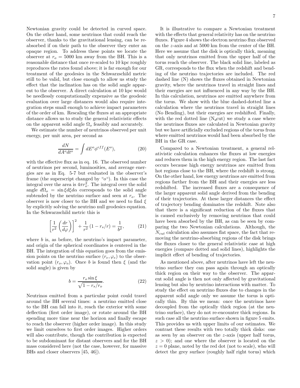Newtonian gravity could be detected in curved space. On the other hand, some neutrinos that could reach the observer, thanks to the gravitational lensing, can be reabsorbed if on their path to the observer they enter an opaque region. To address these points we locate the observer at  $r<sub>o</sub> = 5000$  km away from the BH. This is a reasonable distance that once re-scaled to 10 kpc roughly reproduces the rates found above; it is far enough for our treatment of the geodesics in the Schwarzschild metric still to be valid, but close enough to allow us study the effect that the inclination has on the solid angle apparent to the observer. A direct calculation at 10 kpc would be needlessly computationally expensive as the geodesic evaluation over large distances would also require integration steps small enough to achieve impact parameters of the order of km. Rescaling the fluxes at an appropriate distance allows us to study the general relativistic effects on the apparent solid angle  $\Omega_o$  feasibly and accurately.

We estimate the number of neutrinos observed per unit energy, per unit area, per second as

$$
\frac{dN}{dA^o dt^o} = \int dE^o \phi^{eff}(E^o),\tag{20}
$$

with the effective flux as in eq. 16. The observed number of neutrinos per second, luminosities, and average energies are as in Eq. 5-7 but evaluated in the observer's frame (the superscript changed by " $o$ "). In this case the integral over the area is  $4\pi r_o^2$ . The integral over the solid angle  $d\Omega$ <sub>o</sub> = sin ξ $d\xi d\alpha$  corresponds to the solid angle subtended by the neutrino surface and seen at  $r_o$ . The observer is now closer to the BH and we need to find  $\xi$ by explicitly solving the neutrino null geodesics equation. In the Schwarzschild metric this is

$$
\left[\frac{1}{r^2} \left(\frac{dr}{d\varphi}\right)\right]^2 + \frac{1}{r^2} (1 - r_s/r) = \frac{1}{b^2},
$$
 (21)

where *b* is, as before, the neutrino's impact parameter, and origin of the spherical coordinates is centered in the BH. The integration of this equation goes from the emission points on the neutrino surface  $(r_e, \varphi_e)$  to the observation point  $(r_o, \varphi_o)$ . Once b is found then  $\xi$  (and the solid angle) is given by

$$
b = \frac{r_o \sin \xi}{\sqrt{1 - r_s/r_o}}.\tag{22}
$$

Neutrinos emitted from a particular point could travel around the BH several times: a neutrino emitted close to the BH can fall into it, reach the exterior with some deflection (first order image), or rotate around the BH spending more time near the horizon and finally escape to reach the observer (higher order image). In this study we limit ourselves to first order images. Higher orders will also contribute, though the contribution is expected to be subdominant for distant observers and for the BH mass considered here (not the case, however, for massive BHs and closer observers [45, 46]).

It is illustrative to compare a Newtonian treatment with the effects that general relativity has on the neutrino fluxes. Figure 4 shows the electron neutrino flux observed on the z-axis and at 5000 km from the center of the BH. Here we assume that the disk is optically thick, meaning that only neutrinos emitted from the upper half of the torus reach the observer. The black solid line, labeled as GR, corresponds to the flux when the redshift and bending of the neutrino trajectories are included. The red dashed line (N) shows the fluxes obtained in Newtonian gravity, where the neutrinos travel in straight lines and their energies are not influenced in any way by the BH. In this calculation, neutrinos are emitted anywhere from the torus. We show with the blue dashed-dotted line a calculation where the neutrinos travel in straight lines (No Bending), but their energies are redshifted. Finally, with the red dotted line  $(N_{\text{cut}})$  we study a case where the neutrinos fluxes are calculated in Newtonian gravity but we have artificially excluded regions of the torus from where emitted neutrinos would had been absorbed by the BH in the GR case.

Compared to a Newtonian treatment, a general relativistic calculation enhances the fluxes at low energies and reduces them in the high energy region. The last fact occurs because high energy neutrinos are emitted from hot regions close to the BH, where the redshift is strong. On the other hand, low energy neutrinos are emitted from regions farther from the BH and their energies are less redshifted. The increased fluxes are a consequence of the larger apparent solid angle derived from the bending of their trajectories. At these larger distances the effect of trajectory bending dominates the redshift. Note also that there is a significant reduction of the fluxes that is caused exclusively by removing neutrinos that could have been absorbed by the BH, as can be seen by comparing the two Newtonian calculations. Although, the  $N_{cut}$  calculation also assumes flat space, the fact that removing the neutrino-absorbing regions of the disk brings the fluxes closer to the general relativistic case at high energies (compare dotted and solid lines), highlights the implicit effect of bending of trajectories.

As mentioned above, after neutrinos have left the neutrino surface they can pass again through an optically thick region on their way to the observer. The apparent solid angle is then not only affected by gravitational lensing but also by neutrino interactions with matter. To study the effect on neutrino fluxes due to changes in the apparent solid angle only we assume the torus is optically thin. By this we mean: once the neutrinos have decoupled from the optically thick region (at the neutrino surface), they do not re-encounter thick regions. In such case all the neutrino surface shown in figure 5 emits. This provides us with upper limits of our estimates. We contrast these results with two totally thick disks: one as seen by an observer on the z-axis (upper half torus,  $z > 0$ ; and one where the observer is located on the  $z = 0$  plane, noted by the red dot (not to scale), who will detect the grey surface (roughly half right torus) which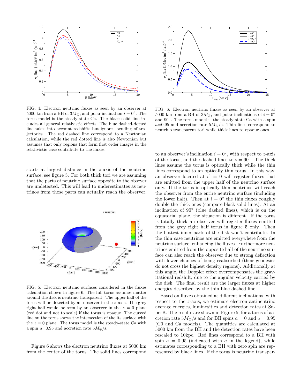

FIG. 4: Electron neutrino fluxes as seen by an observer at 5000 km from a BH of  $3M_{\odot}$ , and polar inclination  $i = 0^{\circ}$ . The torus model is the steady-state Ca. The black solid line includes all general relativistic effects. The blue dashed-dotted line takes into account redshifts but ignores bending of trajectories. The red dashed line correspond to a Newtonian calculation, while the red dotted line is also Newtonian but assumes that only regions that form first order images in the relativistic case contribute to the fluxes.

starts at largest distance in the z-axis of the neutrino surface, see figure 5. For both thick tori we are assuming that the parts of neutrino surface opposite to the obsever are undetected. This will lead to underestimates as neutrinos from those parts can actually reach the observer.



FIG. 5: Electron neutrino surfaces considered in the fluxes calculation shown in figure 6. The full torus assumes matter around the disk is neutrino transparent. The upper half of the torus will be detected by an observer in the z-axis. The grey right half would be seen by an observer in the  $z = 0$  plane (red dot and not to scale) if the torus is opaque. The curved line on the torus shows the intersection of the its surface with the  $z = 0$  plane. The torus model is the steady-state Ca with a spin  $a=0.95$  and accretion rate  $5M_{\odot}/s$ .

Figure 6 shows the electron neutrino fluxes at 5000 km from the center of the torus. The solid lines correspond



FIG. 6: Electron neutrino fluxes as seen by an observer at 5000 km from a BH of  $3M_{\odot}$ , and polar inclinations of  $i = 0^{\circ}$ and  $90^\circ$ . The torus model is the steady-state Ca with a spin  $a=0.95$  and accretion rate  $5M_{\odot}/s$ . Thin lines correspond to neutrino transparent tori while thick lines to opaque ones.

to an observer's inclination  $i = 0^{\degree}$ , with respect to z-axis of the torus, and the dashed lines to  $i = 90°$ . The thick lines assume the torus is optically thick while the thin lines correspond to an optically thin torus. In this way, an observer located at  $i^{\circ} = 0$  will register fluxes that are emitted from the upper half of the neutrino surface only. If the torus is optically thin neutrinos will reach the observer from the entire neutrino surface (including the lower half). Then at  $i = 0^{\circ}$  the thin fluxes roughly double the thick ones (compare black solid lines). At an inclination of 90◦ (blue dashed lines), which is on the equatorial plane, the situation is different. If the torus is totally thick an observer will register fluxes emitted from the grey right half torus in figure 5 only. Then the hottest inner parts of the disk won't contribute. In the thin case neutrinos are emitted everywhere from the neutrino surface, enhancing the fluxes. Furthermore neutrinos emitted from the opposite half of the neutrino surface can also reach the observer due to strong deflection with lower chances of being reabsorbed (their geodesics do not cross the highest density regions). Additionally at this angle, the Doppler effect overcompensates the gravitational redshift, due to the angular velocity carried by the disk. The final result are the larger fluxes at higher energies described by the thin blue dashed line.

Based on fluxes obtained at different inclinations, with respect to the z-axis, we estimate electron antineutrino average energies, luminosities and detection rates at SuperK. The results are shown in Figure 5, for a torus of accretion rate  $5M_{\odot}/s$  and for BH spins  $a = 0$  and  $a = 0.95$ (C0 and Ca models). The quantities are calculated at 5000 km from the BH and the detection rates have been rescaled to 10kpc. Red lines correspond to a BH with spin  $a = 0.95$  (indicated with a in the legend), while estimates corresponding to a BH with zero spin are represented by black lines. If the torus is neutrino transpar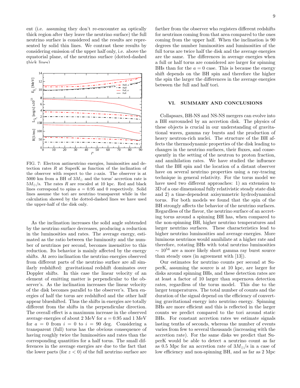ent (i.e. assuming they don't re-encounter an optically thick region after they leave the neutrino surface) the full neutrino surface is considered and the results are represented by solid thin lines. We contrast these results by considering emission of the upper half only, i.e. above the equatorial plane, of the neutrino surface (dotted-dashed thick lines)



FIG. 7: Electron antineutrino energies, luminosities and detection rates  $R$  at SuperK as function of the inclination of the observer with respect to the z-axis. The observer is at 5000 km from a BH of  $3M_{\odot}$  and the torus' accretion rate is  $5M_{\odot}/s$ . The rates R are rescaled at 10 kpc. Red and black lines correspond to spins  $a = 0.95$  and 0 respectively. Solid lines assume the tori are neutrino transparent while in the calculation showed by the dotted-dashed lines we have used the upper-half of the disk only.

As the inclination increases the solid angle subtended by the neutrino surface decreases, producing a reduction in the luminosities and rates. The average energy, estimated as the ratio between the luminosity and the number of neutrinos per second, becomes insensitive to this reduction. Its behavior is mainly affected by the energy shifts. At zero inclination the neutrino energies observed from different parts of the neutrino surface are all similarly redshifted: gravitational redshift dominates over Doppler shifts. In this case the linear velocity of an element of emitting matter is perpendicular to the observer's. As the inclination increases the linear velocity of the disk becomes parallel to the observer's. Then energies of half the torus are redshifted and the other half appear blueshifted. Thus the shifts in energies are totally different from the shifts in the perpendicular direction. The overall effect is a maximum increase in the observed average energies of about 2 MeV for  $a = 0.95$  and 1 MeV for  $a = 0$  from  $i = 0$  to  $i = 90$  deg. Considering a transparent (full) torus has the obvious consequence of having roughly twice the luminosities and rates than the corresponding quantities for a half torus. The small differences in the average energies are due to the fact that the lower parts (for  $z < 0$ ) of the full neutrino surface are

farther from the observer who registers different redshifts for neutrinos coming from that area compared to the ones coming from the upper half. When the inclination is 90 degrees the number luminosities and luminosities of the full torus are twice half the disk and the average energies are the same. The differences in average energies when a full or half torus are considered are larger for spinning BHs than for the  $a = 0$  case. This is because the energy shift depends on the BH spin and therefore the higher the spin the larger the differences in the average energies between the full and half tori.

# VI. SUMMARY AND CONCLUSIONS

Collapsars, BH-NS and NS-NS mergers can evolve into a BH surrounded by an accretion disk. The physics of these objects is crucial in our understanding of gravitational waves, gamma ray bursts and the production of heavy neutron-rich nuclei. The structure of the BH affects the thermodynamic properties of the disk leading to changes in the neutrino surfaces, their fluxes, and consequently in the setting of the neutron to proton fraction, and annihilation rates. We have studied the influence that the BH spin and the location of a distant observer have on several neutrino properties using a ray-tracing technique in general relativity. For the torus model we have used two different approaches: 1) an extension to 3D of a one dimensional fully relativistic steady state disk and 2) a time-dependent axisymmetric hydrodynamical torus. For both models we found that the spin of the BH strongly affects the behavior of the neutrino surfaces. Regardless of the flavor, the neutrino surface of an accreting torus around a spinning BH has, when compared to the non-spinning BH, higher neutrino temperatures and larger neutrino surfaces. These characteristics lead to higher neutrino luminosities and average energies. More luminous neutrinos would annihilate at a higher rate and therefore, rotating BHs with total neutrino luminosities  $\sim 10^{54}$  are a more likely short gamma ray burst source than steady ones (in agreement with [13]).

Our estimates for neutrino counts per second at SuperK, assuming the source is at 10 kpc, are larger for disks around spinning BHs, and these detection rates are at least a factor of 10 larger than supernova detection rates, regardless of the torus model. This due to the larger temperatures. The total number of counts and the duration of the signal depend on the efficiency of converting gravitational energy into neutrino energy. Spinning BHs are more efficient and this is reflected in the larger counts we predict compared to the tori around static BHs. For constant accretion rates we estimate signals lasting tenths of seconds, whereas the number of events varies from few to several thousands (increasing with the accretion rate). For the same disks we predict that SuperK would be able to detect a neutrino count as far as 0.5 Mpc for an accretion rate of  $3M_{\odot}/s$  in a case of low efficiency and non-spinning BH, and as far as 2 Mpc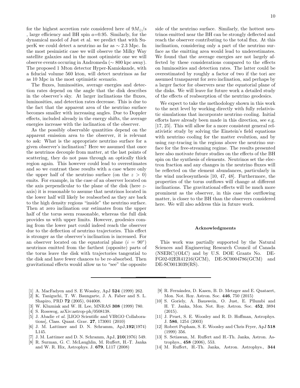for the highest accretion rate considered here of  $9M_{\odot}/s$ , large efficiency and BH spin  $a=0.95$ . Similarly, for the dynamical model of Just et al. we predict that with SuperK we could detect a neutrino as far as ∼ 2.3 Mpc. In the most pesimistic case we will observe the Milky Way satellite galaxies and in the most optimistic one we will observe events occuring in Andromeda (∼ 800 kpc away). The proposed 1 Mton detector Hyper-Kamiokande, with a fiducial volume 560 kton, will detect neutrinos as far as 10 Mpc in the most optimistic scenario.

The fluxes, luminosities, average energies and detection rates depend on the angle that the disk describes in the observer's sky. At larger inclinations the fluxes, luminosities, and detection rates decrease. This is due to the fact that the apparent area of the neutrino surface becomes smaller with increasing angles. Due to Doppler effects, included already in the energy shifts, the average energies increase with the inclination of the observer.

As the possibly observable quantities depend on the apparent emission area to the observer, it is relevant to ask: What is the appropriate neutrino surface for a given observer's inclination? Here we assumed that once the neutrinos decouple from matter, at the last points of scattering, they do not pass through an optically thick region again. This however could lead to overestimates and so we contrast these results with a case where only the upper half of the neutrino surface (on the  $z > 0$ ) emits. For example, in the case of an observer located on the axis perpendicular to the plane of the disk (here zaxis) it is reasonable to assume that neutrinos located in the lower half will likely be reabsorbed as they are back to the high density regions "inside" the neutrino surface. Then at zero inclination our estimates from the upper half of the torus seem reasonable, whereas the full disk provides us with upper limits. However, geodesics coming from the lower part could indeed reach the observer due to the deflection of neutrino trajectories. This effect is stronger as the observer's inclination is increased. For an observer located on the equatorial plane  $(i = 90°)$ neutrinos emitted from the farthest (opposite) parts of the torus leave the disk with trajectories tangential to the disk and have fewer chances to be re-absorbed. Then gravitational effects would allow us to "see" the opposite

10 side of the neutrino surface. Similarly, the hottest neutrinos emitted near the BH can be strongly deflected and reach the observer contributing to the total flux. At this inclination, considering only a part of the neutrino surface as the emitting area would lead to underestimates. We found that the average energies are not largely affected by these considerations compared to the effects on luminosities and detection rates. The latter could be overestimated by roughly a factor of two if the tori are assumed transparent for zero inclination, and perhaps by a larger factor for observers near the equatorial plane of the disks. We will leave for future work a detailed study

We expect to take the methodology shown in this work to the next level by working directly with fully relativistic simulations that incorporate neutrino cooling. Initial efforts have already been made in this direction, see e.g. [17, 25]. This will allow for a more consistent general relativistic study by solving the Einstein's field equations with neutrino cooling for the matter evolution, and by using ray-tracing in the regions above the neutrino surface for the free-streaming regime. The results presented here also motivate future studies on the effects of the BH spin on the synthesis of elements. Neutrinos set the electron fraction and any changes in the neutrino fluxes will be reflected on the element abundances, particularly in the wind nucleosynthesis [10, 47, 48]. Furthermore, the properties of the torus outflows will change at different inclinations. The gravitational effects will be much more prominent as the observer, in this case the outflowing matter, is closer to the BH than the observers considered here. We will also address this in future work.

of the effects of reabsorption of the neutrino geodesics.

#### Acknowledgments

This work was partially supported by the Natural Sciences and Engineering Research Council of Canada (NSERC)(OLC) and by U.S. DOE Grants No. DE-FG02-02ER41216(GCM), DE-SC0004786(GCM) and DE-SC0013039(RS).

- [1] A. MacFadyen and S. E Wossley, ApJ 524 (1999) 262.
- [2] K. Taniguchi, T. W. Baungarte, J. A. Faber and S. L.
- Shapiro, PRD 72 (2005), 044008.
- [3] W. Kluzniak and W. H. Lee, MNRAS 308 (1999) 780.
- [4] S. Rosswog, arXiv:astrop-ph/0508138.
- [5] J. Abadie et al. [LIGO Scientific and VIRGO Collaborations], Class. Quant. Grav. 27, 173001 (2010)
- [6] J. M. Lattimer and D. N. Schramm, ApJ,192(1974) L145.
- [7] J. M. Lattimer and D. N. Schramm, ApJ, 210(1976) 549.
- [8] R. Surman, G. C. McLaughlin, M. Ruffert, H.-T. Janka and W. R. Hix, Astrophys. J. 679, L117 (2008)
- [9] R. Fernández, D. Kasen, B. D. Metzger and E. Quataert, Mon. Not. Roy. Astron. Soc. 446, 750 (2015)
- [10] S. Goriely, A. Bauswein, O. Just, E. Pllumbi and H. T. Janka, Mon. Not. Roy. Astron. Soc. 452, 3894 (2015).
- [11] J. Pruet, S. E. Woosley and R. D. Hoffman, Astrophys. J. 586, 1254 (2003)
- [12] Robert Popham, S. E. Woosley and Chris Fryer, ApJ 518 (1999) 356.
- [13] S. Setiawan, M. Ruffert and H.-Th. Janka, Astron. Astrophys., 458 (2006), 553.
- [14] M. Ruffert, H.-Th. Janka, Astron. Astrophys., 344